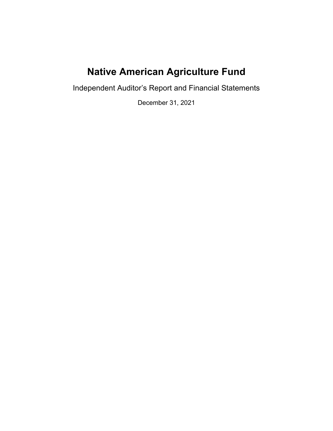# **Native American Agriculture Fund**

Independent Auditor's Report and Financial Statements

December 31, 2021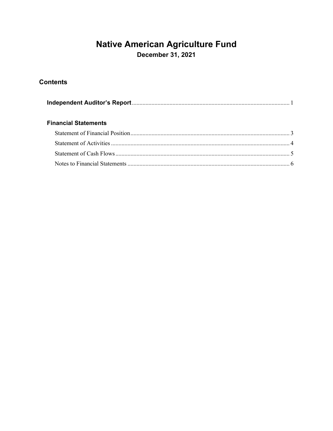# **Native American Agriculture Fund** December 31, 2021

## **Contents**

| <b>Financial Statements</b> |  |
|-----------------------------|--|
|                             |  |
|                             |  |
|                             |  |
|                             |  |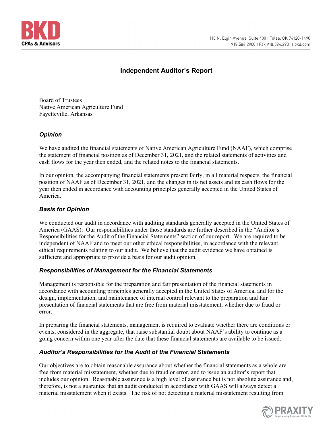

### **Independent Auditor's Report**

Board of Trustees Native American Agriculture Fund Fayetteville, Arkansas

### *Opinion*

We have audited the financial statements of Native American Agriculture Fund (NAAF), which comprise the statement of financial position as of December 31, 2021, and the related statements of activities and cash flows for the year then ended, and the related notes to the financial statements.

In our opinion, the accompanying financial statements present fairly, in all material respects, the financial position of NAAF as of December 31, 2021, and the changes in its net assets and its cash flows for the year then ended in accordance with accounting principles generally accepted in the United States of America.

#### *Basis for Opinion*

We conducted our audit in accordance with auditing standards generally accepted in the United States of America (GAAS). Our responsibilities under those standards are further described in the "Auditor's Responsibilities for the Audit of the Financial Statements" section of our report. We are required to be independent of NAAF and to meet our other ethical responsibilities, in accordance with the relevant ethical requirements relating to our audit. We believe that the audit evidence we have obtained is sufficient and appropriate to provide a basis for our audit opinion.

#### *Responsibilities of Management for the Financial Statements*

Management is responsible for the preparation and fair presentation of the financial statements in accordance with accounting principles generally accepted in the United States of America, and for the design, implementation, and maintenance of internal control relevant to the preparation and fair presentation of financial statements that are free from material misstatement, whether due to fraud or error.

In preparing the financial statements, management is required to evaluate whether there are conditions or events, considered in the aggregate, that raise substantial doubt about NAAF's ability to continue as a going concern within one year after the date that these financial statements are available to be issued.

#### *Auditor's Responsibilities for the Audit of the Financial Statements*

Our objectives are to obtain reasonable assurance about whether the financial statements as a whole are free from material misstatement, whether due to fraud or error, and to issue an auditor's report that includes our opinion. Reasonable assurance is a high level of assurance but is not absolute assurance and, therefore, is not a guarantee that an audit conducted in accordance with GAAS will always detect a material misstatement when it exists. The risk of not detecting a material misstatement resulting from

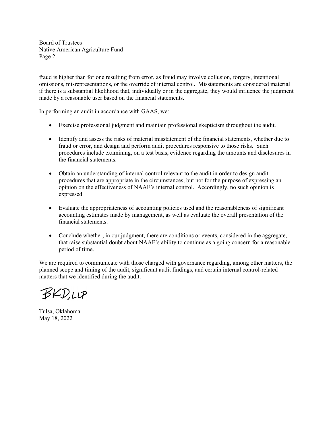Board of Trustees Native American Agriculture Fund Page 2

fraud is higher than for one resulting from error, as fraud may involve collusion, forgery, intentional omissions, misrepresentations, or the override of internal control. Misstatements are considered material if there is a substantial likelihood that, individually or in the aggregate, they would influence the judgment made by a reasonable user based on the financial statements.

In performing an audit in accordance with GAAS, we:

- Exercise professional judgment and maintain professional skepticism throughout the audit.
- Identify and assess the risks of material misstatement of the financial statements, whether due to fraud or error, and design and perform audit procedures responsive to those risks. Such procedures include examining, on a test basis, evidence regarding the amounts and disclosures in the financial statements.
- Obtain an understanding of internal control relevant to the audit in order to design audit procedures that are appropriate in the circumstances, but not for the purpose of expressing an opinion on the effectiveness of NAAF's internal control. Accordingly, no such opinion is expressed.
- Evaluate the appropriateness of accounting policies used and the reasonableness of significant accounting estimates made by management, as well as evaluate the overall presentation of the financial statements.
- Conclude whether, in our judgment, there are conditions or events, considered in the aggregate, that raise substantial doubt about NAAF's ability to continue as a going concern for a reasonable period of time.

We are required to communicate with those charged with governance regarding, among other matters, the planned scope and timing of the audit, significant audit findings, and certain internal control-related matters that we identified during the audit.

**BKD,LLP** 

Tulsa, Oklahoma May 18, 2022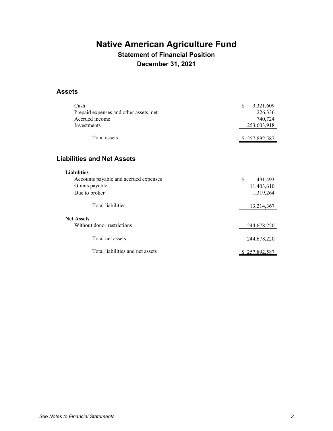# **Native American Agriculture Fund**

### **Statement of Financial Position December 31, 2021**

### **Assets**

| Cash                                   | 3,321,609     |
|----------------------------------------|---------------|
| Prepaid expenses and other assets, net | 226,336       |
| Accrued income                         | 740.724       |
| Investments                            | 253,603,918   |
|                                        |               |
| Total assets                           | \$257,892,587 |

### **Liabilities and Net Assets**

| <b>Liabilities</b>                    |               |
|---------------------------------------|---------------|
| Accounts payable and accrued expenses | \$<br>491,493 |
| Grants payable                        | 11,403,610    |
| Due to broker                         | 1,319,264     |
| Total liabilities                     | 13,214,367    |
| <b>Net Assets</b>                     |               |
| Without donor restrictions            | 244,678,220   |
| Total net assets                      | 244,678,220   |
| Total liabilities and net assets      | \$257,892,587 |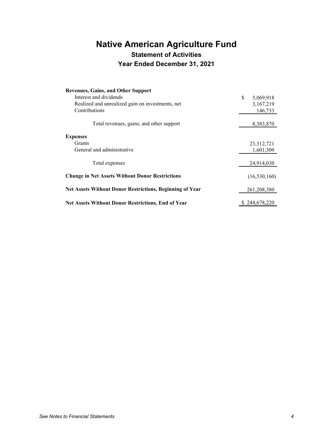# **Native American Agriculture Fund Statement of Activities Year Ended December 31, 2021**

| <b>Revenues, Gains, and Other Support</b>                       |                 |
|-----------------------------------------------------------------|-----------------|
| Interest and dividends                                          | \$<br>5,069,918 |
| Realized and unrealized gain on investments, net                | 3,167,219       |
| Contributions                                                   | 146,733         |
| Total revenues, gains, and other support                        | 8,383,870       |
| <b>Expenses</b>                                                 |                 |
| Grants                                                          | 23,312,721      |
| General and administrative                                      | 1,601,309       |
| Total expenses                                                  | 24,914,030      |
| <b>Change in Net Assets Without Donor Restrictions</b>          | (16, 530, 160)  |
| <b>Net Assets Without Donor Restrictions, Beginning of Year</b> | 261, 208, 380   |
| <b>Net Assets Without Donor Restrictions, End of Year</b>       | 244,678,220     |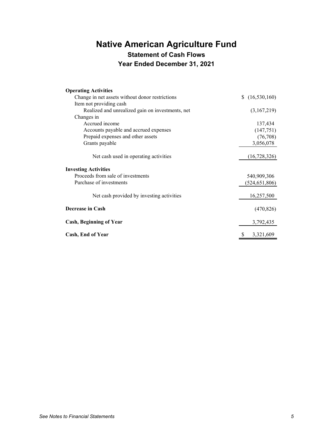# **Native American Agriculture Fund Statement of Cash Flows Year Ended December 31, 2021**

| <b>Operating Activities</b>                      |                    |
|--------------------------------------------------|--------------------|
| Change in net assets without donor restrictions  | (16,530,160)<br>S. |
| Item not providing cash                          |                    |
| Realized and unrealized gain on investments, net | (3,167,219)        |
| Changes in                                       |                    |
| Accrued income                                   | 137,434            |
| Accounts payable and accrued expenses            | (147,751)          |
| Prepaid expenses and other assets                | (76, 708)          |
| Grants payable                                   | 3,056,078          |
| Net cash used in operating activities            | (16, 728, 326)     |
| <b>Investing Activities</b>                      |                    |
| Proceeds from sale of investments                | 540,909,306        |
| Purchase of investments                          | (524, 651, 806)    |
| Net cash provided by investing activities        | 16,257,500         |
| <b>Decrease in Cash</b>                          | (470, 826)         |
| <b>Cash, Beginning of Year</b>                   | 3,792,435          |
| Cash, End of Year                                | 3,321,609          |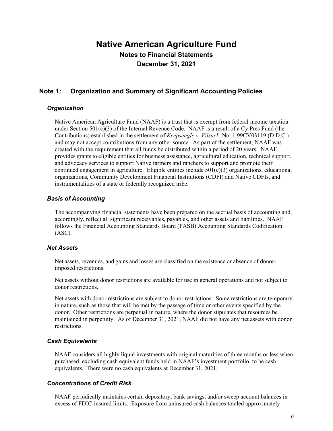### **Note 1: Organization and Summary of Significant Accounting Policies**

#### *Organization*

Native American Agriculture Fund (NAAF) is a trust that is exempt from federal income taxation under Section  $501(c)(3)$  of the Internal Revenue Code. NAAF is a result of a Cy Pres Fund (the Contributions) established in the settlement of *Keepseagle v. Vilsack*, No. 1:99CV03119 (D.D.C.) and may not accept contributions from any other source. As part of the settlement, NAAF was created with the requirement that all funds be distributed within a period of 20 years. NAAF provides grants to eligible entities for business assistance, agricultural education, technical support, and advocacy services to support Native farmers and ranchers to support and promote their continued engagement in agriculture. Eligible entities include  $501(c)(3)$  organizations, educational organizations, Community Development Financial Institutions (CDFI) and Native CDFIs, and instrumentalities of a state or federally recognized tribe.

#### *Basis of Accounting*

The accompanying financial statements have been prepared on the accrual basis of accounting and, accordingly, reflect all significant receivables, payables, and other assets and liabilities. NAAF follows the Financial Accounting Standards Board (FASB) Accounting Standards Codification (ASC).

#### *Net Assets*

Net assets, revenues, and gains and losses are classified on the existence or absence of donorimposed restrictions.

Net assets without donor restrictions are available for use in general operations and not subject to donor restrictions.

Net assets with donor restrictions are subject to donor restrictions. Some restrictions are temporary in nature, such as those that will be met by the passage of time or other events specified by the donor. Other restrictions are perpetual in nature, where the donor stipulates that resources be maintained in perpetuity. As of December 31, 2021, NAAF did not have any net assets with donor restrictions.

#### *Cash Equivalents*

NAAF considers all highly liquid investments with original maturities of three months or less when purchased, excluding cash equivalent funds held in NAAF's investment portfolio, to be cash equivalents. There were no cash equivalents at December 31, 2021.

#### *Concentrations of Credit Risk*

NAAF periodically maintains certain depository, bank savings, and/or sweep account balances in excess of FDIC-insured limits. Exposure from uninsured cash balances totaled approximately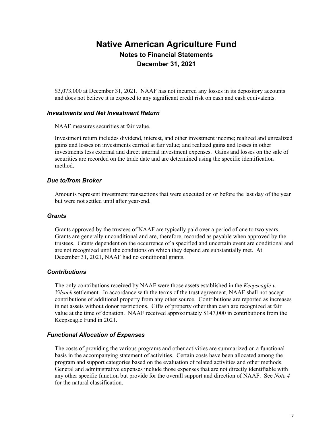\$3,073,000 at December 31, 2021. NAAF has not incurred any losses in its depository accounts and does not believe it is exposed to any significant credit risk on cash and cash equivalents.

#### *Investments and Net Investment Return*

NAAF measures securities at fair value.

Investment return includes dividend, interest, and other investment income; realized and unrealized gains and losses on investments carried at fair value; and realized gains and losses in other investments less external and direct internal investment expenses. Gains and losses on the sale of securities are recorded on the trade date and are determined using the specific identification method.

#### *Due to/from Broker*

Amounts represent investment transactions that were executed on or before the last day of the year but were not settled until after year-end.

#### *Grants*

Grants approved by the trustees of NAAF are typically paid over a period of one to two years. Grants are generally unconditional and are, therefore, recorded as payable when approved by the trustees. Grants dependent on the occurrence of a specified and uncertain event are conditional and are not recognized until the conditions on which they depend are substantially met. At December 31, 2021, NAAF had no conditional grants.

#### *Contributions*

The only contributions received by NAAF were those assets established in the *Keepseagle v. Vilsack* settlement. In accordance with the terms of the trust agreement, NAAF shall not accept contributions of additional property from any other source. Contributions are reported as increases in net assets without donor restrictions. Gifts of property other than cash are recognized at fair value at the time of donation. NAAF received approximately \$147,000 in contributions from the Keepseagle Fund in 2021.

#### *Functional Allocation of Expenses*

The costs of providing the various programs and other activities are summarized on a functional basis in the accompanying statement of activities. Certain costs have been allocated among the program and support categories based on the evaluation of related activities and other methods. General and administrative expenses include those expenses that are not directly identifiable with any other specific function but provide for the overall support and direction of NAAF. See *Note 4* for the natural classification.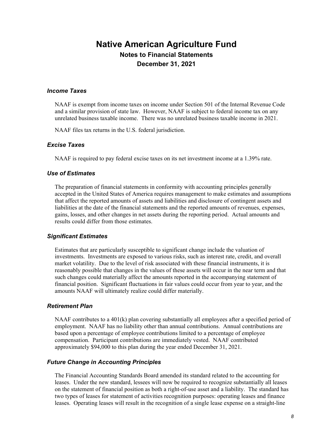#### *Income Taxes*

NAAF is exempt from income taxes on income under Section 501 of the Internal Revenue Code and a similar provision of state law. However, NAAF is subject to federal income tax on any unrelated business taxable income. There was no unrelated business taxable income in 2021.

NAAF files tax returns in the U.S. federal jurisdiction.

#### *Excise Taxes*

NAAF is required to pay federal excise taxes on its net investment income at a 1.39% rate.

#### *Use of Estimates*

The preparation of financial statements in conformity with accounting principles generally accepted in the United States of America requires management to make estimates and assumptions that affect the reported amounts of assets and liabilities and disclosure of contingent assets and liabilities at the date of the financial statements and the reported amounts of revenues, expenses, gains, losses, and other changes in net assets during the reporting period. Actual amounts and results could differ from those estimates.

#### *Significant Estimates*

Estimates that are particularly susceptible to significant change include the valuation of investments. Investments are exposed to various risks, such as interest rate, credit, and overall market volatility. Due to the level of risk associated with these financial instruments, it is reasonably possible that changes in the values of these assets will occur in the near term and that such changes could materially affect the amounts reported in the accompanying statement of financial position. Significant fluctuations in fair values could occur from year to year, and the amounts NAAF will ultimately realize could differ materially.

#### *Retirement Plan*

NAAF contributes to a 401(k) plan covering substantially all employees after a specified period of employment. NAAF has no liability other than annual contributions. Annual contributions are based upon a percentage of employee contributions limited to a percentage of employee compensation. Participant contributions are immediately vested. NAAF contributed approximately \$94,000 to this plan during the year ended December 31, 2021.

#### *Future Change in Accounting Principles*

The Financial Accounting Standards Board amended its standard related to the accounting for leases. Under the new standard, lessees will now be required to recognize substantially all leases on the statement of financial position as both a right-of-use asset and a liability. The standard has two types of leases for statement of activities recognition purposes: operating leases and finance leases. Operating leases will result in the recognition of a single lease expense on a straight-line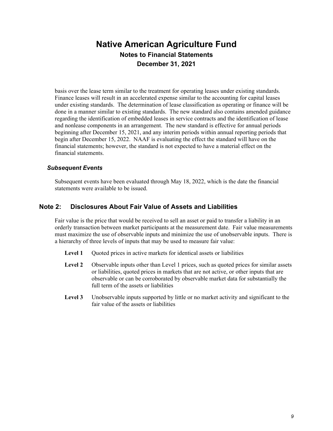basis over the lease term similar to the treatment for operating leases under existing standards. Finance leases will result in an accelerated expense similar to the accounting for capital leases under existing standards. The determination of lease classification as operating or finance will be done in a manner similar to existing standards. The new standard also contains amended guidance regarding the identification of embedded leases in service contracts and the identification of lease and nonlease components in an arrangement. The new standard is effective for annual periods beginning after December 15, 2021, and any interim periods within annual reporting periods that begin after December 15, 2022. NAAF is evaluating the effect the standard will have on the financial statements; however, the standard is not expected to have a material effect on the financial statements.

### *Subsequent Events*

Subsequent events have been evaluated through May 18, 2022, which is the date the financial statements were available to be issued.

### **Note 2: Disclosures About Fair Value of Assets and Liabilities**

Fair value is the price that would be received to sell an asset or paid to transfer a liability in an orderly transaction between market participants at the measurement date. Fair value measurements must maximize the use of observable inputs and minimize the use of unobservable inputs. There is a hierarchy of three levels of inputs that may be used to measure fair value:

- Level 1 Quoted prices in active markets for identical assets or liabilities
- Level 2 Observable inputs other than Level 1 prices, such as quoted prices for similar assets or liabilities, quoted prices in markets that are not active, or other inputs that are observable or can be corroborated by observable market data for substantially the full term of the assets or liabilities
- **Level 3** Unobservable inputs supported by little or no market activity and significant to the fair value of the assets or liabilities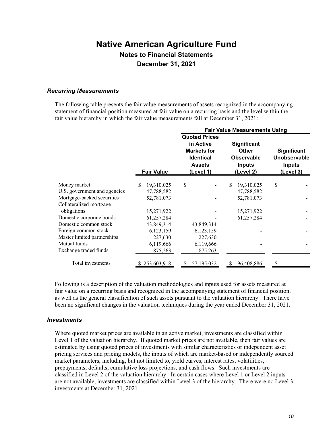#### *Recurring Measurements*

The following table presents the fair value measurements of assets recognized in the accompanying statement of financial position measured at fair value on a recurring basis and the level within the fair value hierarchy in which the fair value measurements fall at December 31, 2021:

|                              |                   | <b>Fair Value Measurements Using</b> |                                                                                                           |              |                                                                                       |    |                                                                  |
|------------------------------|-------------------|--------------------------------------|-----------------------------------------------------------------------------------------------------------|--------------|---------------------------------------------------------------------------------------|----|------------------------------------------------------------------|
|                              | <b>Fair Value</b> |                                      | <b>Quoted Prices</b><br>in Active<br><b>Markets for</b><br><b>Identical</b><br><b>Assets</b><br>(Level 1) |              | <b>Significant</b><br><b>Other</b><br><b>Observable</b><br><b>Inputs</b><br>(Level 2) |    | <b>Significant</b><br>Unobservable<br><b>Inputs</b><br>(Level 3) |
| Money market                 | \$<br>19,310,025  | \$                                   |                                                                                                           | \$           | 19,310,025                                                                            | \$ |                                                                  |
| U.S. government and agencies | 47,788,582        |                                      |                                                                                                           |              | 47,788,582                                                                            |    |                                                                  |
| Mortgage-backed securities   | 52,781,073        |                                      |                                                                                                           |              | 52,781,073                                                                            |    |                                                                  |
| Collateralized mortgage      |                   |                                      |                                                                                                           |              |                                                                                       |    |                                                                  |
| obligations                  | 15,271,922        |                                      |                                                                                                           |              | 15,271,922                                                                            |    |                                                                  |
| Domestic corporate bonds     | 61,257,284        |                                      |                                                                                                           |              | 61,257,284                                                                            |    |                                                                  |
| Domestic common stock        | 43,849,314        |                                      | 43,849,314                                                                                                |              |                                                                                       |    |                                                                  |
| Foreign common stock         | 6,123,159         |                                      | 6,123,159                                                                                                 |              |                                                                                       |    |                                                                  |
| Master limited partnerships  | 227,630           |                                      | 227,630                                                                                                   |              |                                                                                       |    |                                                                  |
| Mutual funds                 | 6,119,666         |                                      | 6,119,666                                                                                                 |              |                                                                                       |    |                                                                  |
| Exchange traded funds        | 875,263           |                                      | 875,263                                                                                                   |              |                                                                                       |    |                                                                  |
| Total investments            | 253,603,918       | S                                    | 57,195,032                                                                                                | <sup>S</sup> | 196,408,886                                                                           |    |                                                                  |

Following is a description of the valuation methodologies and inputs used for assets measured at fair value on a recurring basis and recognized in the accompanying statement of financial position, as well as the general classification of such assets pursuant to the valuation hierarchy. There have been no significant changes in the valuation techniques during the year ended December 31, 2021.

#### *Investments*

Where quoted market prices are available in an active market, investments are classified within Level 1 of the valuation hierarchy. If quoted market prices are not available, then fair values are estimated by using quoted prices of investments with similar characteristics or independent asset pricing services and pricing models, the inputs of which are market-based or independently sourced market parameters, including, but not limited to, yield curves, interest rates, volatilities, prepayments, defaults, cumulative loss projections, and cash flows. Such investments are classified in Level 2 of the valuation hierarchy. In certain cases where Level 1 or Level 2 inputs are not available, investments are classified within Level 3 of the hierarchy. There were no Level 3 investments at December 31, 2021.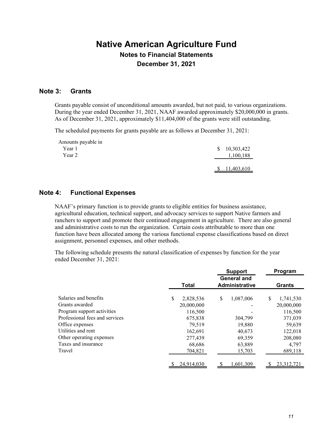#### **Note 3: Grants**

Grants payable consist of unconditional amounts awarded, but not paid, to various organizations. During the year ended December 31, 2021, NAAF awarded approximately \$20,000,000 in grants. As of December 31, 2021, approximately \$11,404,000 of the grants were still outstanding.

The scheduled payments for grants payable are as follows at December 31, 2021:

| Amounts payable in |     |            |
|--------------------|-----|------------|
| Year 1             | S – | 10,303,422 |
| Year 2             |     | 1,100,188  |
|                    |     |            |
|                    |     | 11,403,610 |

#### **Note 4: Functional Expenses**

NAAF's primary function is to provide grants to eligible entities for business assistance, agricultural education, technical support, and advocacy services to support Native farmers and ranchers to support and promote their continued engagement in agriculture. There are also general and administrative costs to run the organization. Certain costs attributable to more than one function have been allocated among the various functional expense classifications based on direct assignment, personnel expenses, and other methods.

The following schedule presents the natural classification of expenses by function for the year ended December 31, 2021:

|                                |   |              | <b>Support</b>                       | Program         |
|--------------------------------|---|--------------|--------------------------------------|-----------------|
|                                |   | <b>Total</b> | <b>General and</b><br>Administrative | <b>Grants</b>   |
| Salaries and benefits          | S | 2,828,536    | \$<br>1,087,006                      | \$<br>1,741,530 |
| Grants awarded                 |   | 20,000,000   |                                      | 20,000,000      |
| Program support activities     |   | 116,500      |                                      | 116,500         |
| Professional fees and services |   | 675,838      | 304,799                              | 371,039         |
| Office expenses                |   | 79.519       | 19,880                               | 59,639          |
| Utilities and rent             |   | 162,691      | 40,673                               | 122,018         |
| Other operating expenses       |   | 277,439      | 69,359                               | 208,080         |
| Taxes and insurance            |   | 68,686       | 63,889                               | 4,797           |
| Travel                         |   | 704,821      | 15,703                               | 689,118         |
|                                |   | 24,914,030   | 1,601,309                            | 23.312.721      |